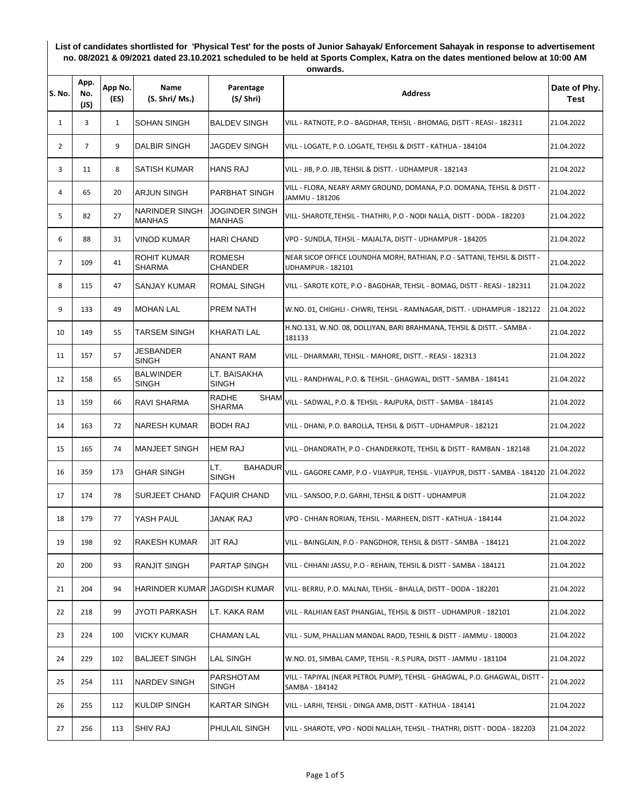**List of candidates shortlisted for 'Physical Test' for the posts of Junior Sahayak/ Enforcement Sahayak in response to advertisement no. 08/2021 & 09/2021 dated 23.10.2021 scheduled to be held at Sports Complex, Katra on the dates mentioned below at 10:00 AM onwards.**

| S. No.         | App.<br>No.<br>(JS) | App No.<br>(ES) | Name<br>(S. Shri/ Ms.)                 | Parentage<br>(S/ Shri)                       | <b>Address</b>                                                                                | Date of Phy.<br>Test |
|----------------|---------------------|-----------------|----------------------------------------|----------------------------------------------|-----------------------------------------------------------------------------------------------|----------------------|
| 1              | 3                   | $\mathbf{1}$    | <b>SOHAN SINGH</b>                     | <b>BALDEV SINGH</b>                          | VILL - RATNOTE, P.O - BAGDHAR, TEHSIL - BHOMAG, DISTT - REASI - 182311                        | 21.04.2022           |
| $\overline{2}$ | $\overline{7}$      | 9               | <b>DALBIR SINGH</b>                    | JAGDEV SINGH                                 | VILL - LOGATE, P.O. LOGATE, TEHSIL & DISTT - KATHUA - 184104                                  | 21.04.2022           |
| 3              | 11                  | 8               | <b>SATISH KUMAR</b>                    | <b>HANS RAJ</b>                              | VILL - JIB, P.O. JIB, TEHSIL & DISTT. - UDHAMPUR - 182143                                     | 21.04.2022           |
| 4              | 65                  | 20              | <b>ARJUN SINGH</b>                     | <b>PARBHAT SINGH</b>                         | VILL - FLORA, NEARY ARMY GROUND, DOMANA, P.O. DOMANA, TEHSIL & DISTT -<br>JAMMU - 181206      | 21.04.2022           |
| 5              | 82                  | 27              | <b>NARINDER SINGH</b><br><b>MANHAS</b> | <b>JOGINDER SINGH</b><br><b>MANHAS</b>       | VILL- SHAROTE, TEHSIL - THATHRI, P.O - NODI NALLA, DISTT - DODA - 182203                      | 21.04.2022           |
| 6              | 88                  | 31              | <b>VINOD KUMAR</b>                     | <b>HARI CHAND</b>                            | VPO - SUNDLA, TEHSIL - MAJALTA, DISTT - UDHAMPUR - 184205                                     | 21.04.2022           |
| $\overline{7}$ | 109                 | 41              | <b>ROHIT KUMAR</b><br><b>SHARMA</b>    | <b>ROMESH</b><br><b>CHANDER</b>              | NEAR SICOP OFFICE LOUNDHA MORH, RATHIAN, P.O - SATTANI, TEHSIL & DISTT -<br>UDHAMPUR - 182101 | 21.04.2022           |
| 8              | 115                 | 47              | SANJAY KUMAR                           | <b>ROMAL SINGH</b>                           | VILL - SAROTE KOTE, P.O - BAGDHAR, TEHSIL - BOMAG, DISTT - REASI - 182311                     | 21.04.2022           |
| 9              | 133                 | 49              | <b>MOHAN LAL</b>                       | PREM NATH                                    | W.NO. 01, CHIGHLI - CHWRI, TEHSIL - RAMNAGAR, DISTT. - UDHAMPUR - 182122                      | 21.04.2022           |
| 10             | 149                 | 55              | <b>TARSEM SINGH</b>                    | <b>KHARATI LAL</b>                           | H.NO.131, W.NO. 08, DOLLIYAN, BARI BRAHMANA, TEHSIL & DISTT. - SAMBA -<br>181133              | 21.04.2022           |
| 11             | 157                 | 57              | <b>JESBANDER</b><br><b>SINGH</b>       | ANANT RAM                                    | VILL - DHARMARI, TEHSIL - MAHORE, DISTT. - REASI - 182313                                     | 21.04.2022           |
| 12             | 158                 | 65              | <b>BALWINDER</b><br><b>SINGH</b>       | LT. BAISAKHA<br>SINGH                        | VILL - RANDHWAL, P.O. & TEHSIL - GHAGWAL, DISTT - SAMBA - 184141                              | 21.04.2022           |
| 13             | 159                 | 66              | RAVI SHARMA                            | <b>RADHE</b><br><b>SHAM</b><br><b>SHARMA</b> | VILL - SADWAL, P.O. & TEHSIL - RAJPURA, DISTT - SAMBA - 184145                                | 21.04.2022           |
| 14             | 163                 | 72              | <b>NARESH KUMAR</b>                    | <b>BODH RAJ</b>                              | VILL - DHANI, P.O. BAROLLA, TEHSIL & DISTT - UDHAMPUR - 182121                                | 21.04.2022           |
| 15             | 165                 | 74              | <b>MANJEET SINGH</b>                   | <b>HEM RAJ</b>                               | VILL - DHANDRATH, P.O - CHANDERKOTE, TEHSIL & DISTT - RAMBAN - 182148                         | 21.04.2022           |
| 16             | 359                 | 173             | <b>GHAR SINGH</b>                      | LT.<br><b>BAHADUR</b><br><b>SINGH</b>        | VILL - GAGORE CAMP, P.O - VIJAYPUR, TEHSIL - VIJAYPUR, DISTT - SAMBA - 184120 21.04.2022      |                      |
| 17             | 174                 | 78              | <b>SURJEET CHAND</b>                   | <b>FAQUIR CHAND</b>                          | VILL - SANSOO, P.O. GARHI, TEHSIL & DISTT - UDHAMPUR                                          | 21.04.2022           |
| 18             | 179                 | 77              | YASH PAUL                              | JANAK RAJ                                    | VPO - CHHAN RORIAN, TEHSIL - MARHEEN, DISTT - KATHUA - 184144                                 | 21.04.2022           |
| 19             | 198                 | 92              | <b>RAKESH KUMAR</b>                    | JIT RAJ                                      | VILL - BAINGLAIN, P.O - PANGDHOR, TEHSIL & DISTT - SAMBA - 184121                             | 21.04.2022           |
| 20             | 200                 | 93              | <b>RANJIT SINGH</b>                    | PARTAP SINGH                                 | VILL - CHHANI JASSU, P.O - REHAIN, TEHSIL & DISTT - SAMBA - 184121                            | 21.04.2022           |
| 21             | 204                 | 94              | HARINDER KUMAR JAGDISH KUMAR           |                                              | VILL- BERRU, P.O. MALNAI, TEHSIL - BHALLA, DISTT - DODA - 182201                              | 21.04.2022           |
| 22             | 218                 | 99              | <b>JYOTI PARKASH</b>                   | LT. KAKA RAM                                 | VILL - RALHIAN EAST PHANGIAL, TEHSIL & DISTT - UDHAMPUR - 182101                              | 21.04.2022           |
| 23             | 224                 | 100             | <b>VICKY KUMAR</b>                     | CHAMAN LAL                                   | VILL - SUM, PHALLIAN MANDAL RAOD, TESHIL & DISTT - JAMMU - 180003                             | 21.04.2022           |
| 24             | 229                 | 102             | <b>BALJEET SINGH</b>                   | LAL SINGH                                    | W.NO. 01, SIMBAL CAMP, TEHSIL - R.S PURA, DISTT - JAMMU - 181104                              | 21.04.2022           |
| 25             | 254                 | 111             | <b>NARDEV SINGH</b>                    | PARSHOTAM<br>SINGH                           | VILL - TAPIYAL (NEAR PETROL PUMP), TEHSIL - GHAGWAL, P.O. GHAGWAL, DISTT -<br>SAMBA - 184142  | 21.04.2022           |
| 26             | 255                 | 112             | <b>KULDIP SINGH</b>                    | <b>KARTAR SINGH</b>                          | VILL - LARHI, TEHSIL - DINGA AMB, DISTT - KATHUA - 184141                                     | 21.04.2022           |
| 27             | 256                 | 113             | <b>SHIV RAJ</b>                        | PHULAIL SINGH                                | VILL - SHAROTE, VPO - NODI NALLAH, TEHSIL - THATHRI, DISTT - DODA - 182203                    | 21.04.2022           |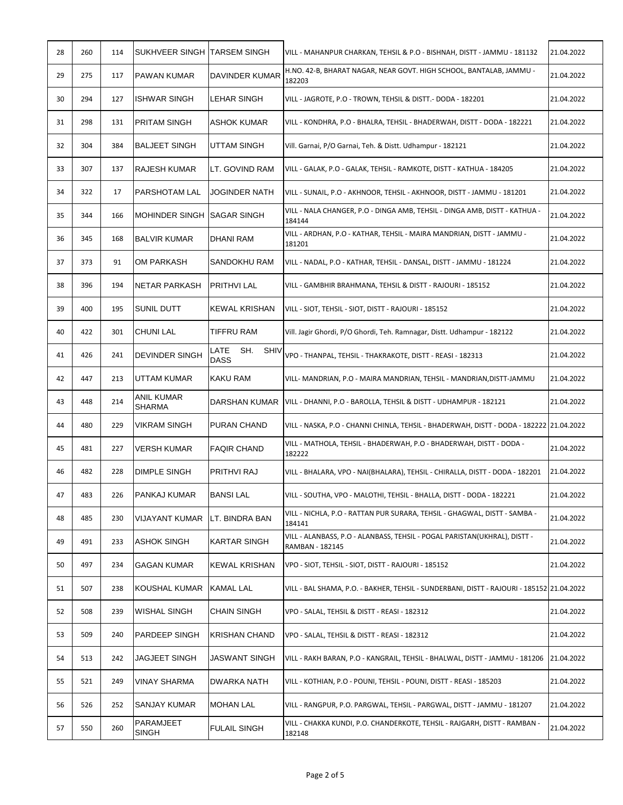| 28 | 260 | 114 | SUKHVEER SINGH TARSEM SINGH        |                                    | VILL - MAHANPUR CHARKAN, TEHSIL & P.O - BISHNAH, DISTT - JAMMU - 181132                      | 21.04.2022 |
|----|-----|-----|------------------------------------|------------------------------------|----------------------------------------------------------------------------------------------|------------|
| 29 | 275 | 117 | <b>PAWAN KUMAR</b>                 | <b>DAVINDER KUMAR</b>              | H.NO. 42-B, BHARAT NAGAR, NEAR GOVT. HIGH SCHOOL, BANTALAB, JAMMU -<br>182203                | 21.04.2022 |
| 30 | 294 | 127 | <b>ISHWAR SINGH</b>                | <b>LEHAR SINGH</b>                 | VILL - JAGROTE, P.O - TROWN, TEHSIL & DISTT.- DODA - 182201                                  | 21.04.2022 |
| 31 | 298 | 131 | <b>PRITAM SINGH</b>                | <b>ASHOK KUMAR</b>                 | VILL - KONDHRA, P.O - BHALRA, TEHSIL - BHADERWAH, DISTT - DODA - 182221                      | 21.04.2022 |
| 32 | 304 | 384 | <b>BALJEET SINGH</b>               | UTTAM SINGH                        | Vill. Garnai, P/O Garnai, Teh. & Distt. Udhampur - 182121                                    | 21.04.2022 |
| 33 | 307 | 137 | <b>RAJESH KUMAR</b>                | LT. GOVIND RAM                     | VILL - GALAK, P.O - GALAK, TEHSIL - RAMKOTE, DISTT - KATHUA - 184205                         | 21.04.2022 |
| 34 | 322 | 17  | PARSHOTAM LAL                      | JOGINDER NATH                      | VILL - SUNAIL, P.O - AKHNOOR, TEHSIL - AKHNOOR, DISTT - JAMMU - 181201                       | 21.04.2022 |
| 35 | 344 | 166 | MOHINDER SINGH SAGAR SINGH         |                                    | VILL - NALA CHANGER, P.O - DINGA AMB, TEHSIL - DINGA AMB, DISTT - KATHUA -<br>184144         | 21.04.2022 |
| 36 | 345 | 168 | <b>BALVIR KUMAR</b>                | <b>DHANI RAM</b>                   | VILL - ARDHAN, P.O - KATHAR, TEHSIL - MAIRA MANDRIAN, DISTT - JAMMU -<br>181201              | 21.04.2022 |
| 37 | 373 | 91  | <b>OM PARKASH</b>                  | SANDOKHU RAM                       | VILL - NADAL, P.O - KATHAR, TEHSIL - DANSAL, DISTT - JAMMU - 181224                          | 21.04.2022 |
| 38 | 396 | 194 | <b>NETAR PARKASH</b>               | <b>PRITHVI LAL</b>                 | VILL - GAMBHIR BRAHMANA, TEHSIL & DISTT - RAJOURI - 185152                                   | 21.04.2022 |
| 39 | 400 | 195 | SUNIL DUTT                         | <b>KEWAL KRISHAN</b>               | VILL - SIOT, TEHSIL - SIOT, DISTT - RAJOURI - 185152                                         | 21.04.2022 |
| 40 | 422 | 301 | <b>CHUNI LAL</b>                   | TIFFRU RAM                         | Vill. Jagir Ghordi, P/O Ghordi, Teh. Ramnagar, Distt. Udhampur - 182122                      | 21.04.2022 |
| 41 | 426 | 241 | <b>DEVINDER SINGH</b>              | LATE<br>SH.<br>SHIV<br><b>DASS</b> | VPO - THANPAL, TEHSIL - THAKRAKOTE, DISTT - REASI - 182313                                   | 21.04.2022 |
| 42 | 447 | 213 | UTTAM KUMAR                        | <b>KAKU RAM</b>                    | VILL- MANDRIAN, P.O - MAIRA MANDRIAN, TEHSIL - MANDRIAN,DISTT-JAMMU                          | 21.04.2022 |
| 43 | 448 | 214 | <b>ANIL KUMAR</b><br><b>SHARMA</b> | DARSHAN KUMAR                      | VILL - DHANNI, P.O - BAROLLA, TEHSIL & DISTT - UDHAMPUR - 182121                             | 21.04.2022 |
| 44 | 480 | 229 | <b>VIKRAM SINGH</b>                | <b>PURAN CHAND</b>                 | VILL - NASKA, P.O - CHANNI CHINLA, TEHSIL - BHADERWAH, DISTT - DODA - 182222  21.04.2022     |            |
| 45 | 481 | 227 | <b>VERSH KUMAR</b>                 | <b>FAQIR CHAND</b>                 | VILL - MATHOLA, TEHSIL - BHADERWAH, P.O - BHADERWAH, DISTT - DODA -<br>182222                | 21.04.2022 |
| 46 | 482 | 228 | <b>DIMPLE SINGH</b>                | <b>PRITHVI RAJ</b>                 | VILL - BHALARA, VPO - NAI(BHALARA), TEHSIL - CHIRALLA, DISTT - DODA - 182201                 | 21.04.2022 |
| 47 | 483 | 226 | PANKAJ KUMAR                       | <b>BANSILAL</b>                    | VILL - SOUTHA, VPO - MALOTHI, TEHSIL - BHALLA, DISTT - DODA - 182221                         | 21.04.2022 |
| 48 | 485 | 230 | VIJAYANT KUMAR                     | LT. BINDRA BAN                     | VILL - NICHLA, P.O - RATTAN PUR SURARA, TEHSIL - GHAGWAL, DISTT - SAMBA -<br>184141          | 21.04.2022 |
| 49 | 491 | 233 | <b>ASHOK SINGH</b>                 | <b>KARTAR SINGH</b>                | VILL - ALANBASS, P.O - ALANBASS, TEHSIL - POGAL PARISTAN(UKHRAL), DISTT -<br>RAMBAN - 182145 | 21.04.2022 |
| 50 | 497 | 234 | <b>GAGAN KUMAR</b>                 | <b>KEWAL KRISHAN</b>               | VPO - SIOT, TEHSIL - SIOT, DISTT - RAJOURI - 185152                                          | 21.04.2022 |
| 51 | 507 | 238 | <b>KOUSHAL KUMAR</b>               | KAMAL LAL                          | VILL - BAL SHAMA, P.O. - BAKHER, TEHSIL - SUNDERBANI, DISTT - RAJOURI - 185152 21.04.2022    |            |
| 52 | 508 | 239 | <b>WISHAL SINGH</b>                | <b>CHAIN SINGH</b>                 | VPO - SALAL, TEHSIL & DISTT - REASI - 182312                                                 | 21.04.2022 |
| 53 | 509 | 240 | PARDEEP SINGH                      | <b>KRISHAN CHAND</b>               | VPO - SALAL, TEHSIL & DISTT - REASI - 182312                                                 | 21.04.2022 |
| 54 | 513 | 242 | JAGJEET SINGH                      | JASWANT SINGH                      | VILL - RAKH BARAN, P.O - KANGRAIL, TEHSIL - BHALWAL, DISTT - JAMMU - 181206                  | 21.04.2022 |
| 55 | 521 | 249 | VINAY SHARMA                       | DWARKA NATH                        | VILL - KOTHIAN, P.O - POUNI, TEHSIL - POUNI, DISTT - REASI - 185203                          | 21.04.2022 |
| 56 | 526 | 252 | SANJAY KUMAR                       | <b>MOHAN LAL</b>                   | VILL - RANGPUR, P.O. PARGWAL, TEHSIL - PARGWAL, DISTT - JAMMU - 181207                       | 21.04.2022 |
| 57 | 550 | 260 | PARAMJEET<br>SINGH                 | <b>FULAIL SINGH</b>                | VILL - CHAKKA KUNDI, P.O. CHANDERKOTE, TEHSIL - RAJGARH, DISTT - RAMBAN -<br>182148          | 21.04.2022 |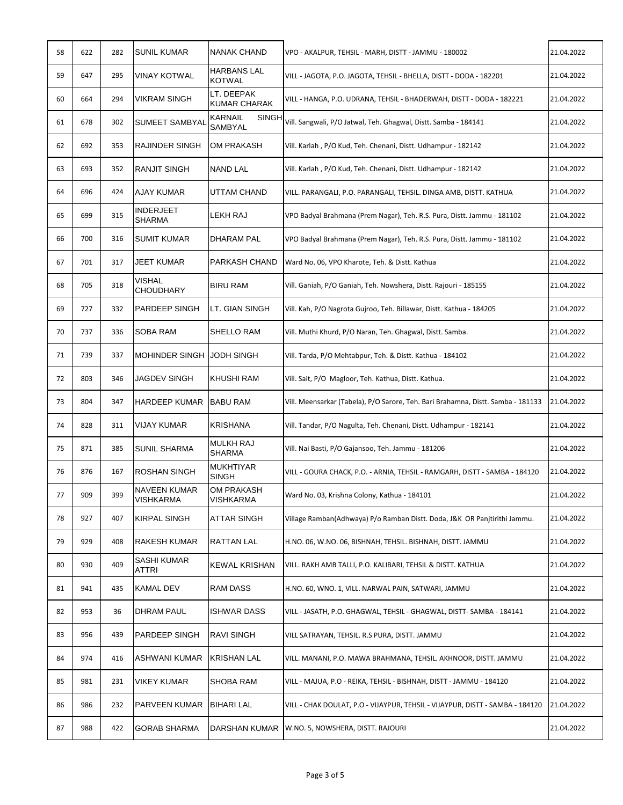| 58 | 622 | 282 | <b>SUNIL KUMAR</b>                      | NANAK CHAND                        | VPO - AKALPUR, TEHSIL - MARH, DISTT - JAMMU - 180002                             | 21.04.2022 |
|----|-----|-----|-----------------------------------------|------------------------------------|----------------------------------------------------------------------------------|------------|
| 59 | 647 | 295 | <b>VINAY KOTWAL</b>                     | <b>HARBANS LAL</b><br>KOTWAL       | VILL - JAGOTA, P.O. JAGOTA, TEHSIL - BHELLA, DISTT - DODA - 182201               | 21.04.2022 |
| 60 | 664 | 294 | <b>VIKRAM SINGH</b>                     | LT. DEEPAK<br><b>KUMAR CHARAK</b>  | VILL - HANGA, P.O. UDRANA, TEHSIL - BHADERWAH, DISTT - DODA - 182221             | 21.04.2022 |
| 61 | 678 | 302 | <b>SUMEET SAMBYAI</b>                   | KARNAIL<br><b>SINGH</b><br>SAMBYAL | Vill. Sangwali, P/O Jatwal, Teh. Ghagwal, Distt. Samba - 184141                  | 21.04.2022 |
| 62 | 692 | 353 | <b>RAJINDER SINGH</b>                   | OM PRAKASH                         | Vill. Karlah, P/O Kud, Teh. Chenani, Distt. Udhampur - 182142                    | 21.04.2022 |
| 63 | 693 | 352 | <b>RANJIT SINGH</b>                     | NAND LAL                           | Vill. Karlah, P/O Kud, Teh. Chenani, Distt. Udhampur - 182142                    | 21.04.2022 |
| 64 | 696 | 424 | AJAY KUMAR                              | UTTAM CHAND                        | VILL. PARANGALI, P.O. PARANGALI, TEHSIL. DINGA AMB, DISTT. KATHUA                | 21.04.2022 |
| 65 | 699 | 315 | <b>INDERJEET</b><br><b>SHARMA</b>       | LEKH RAJ                           | VPO Badyal Brahmana (Prem Nagar), Teh. R.S. Pura, Distt. Jammu - 181102          | 21.04.2022 |
| 66 | 700 | 316 | <b>SUMIT KUMAR</b>                      | DHARAM PAL                         | VPO Badyal Brahmana (Prem Nagar), Teh. R.S. Pura, Distt. Jammu - 181102          | 21.04.2022 |
| 67 | 701 | 317 | <b>JEET KUMAR</b>                       | PARKASH CHAND                      | Ward No. 06, VPO Kharote, Teh. & Distt. Kathua                                   | 21.04.2022 |
| 68 | 705 | 318 | <b>VISHAL</b><br><b>CHOUDHARY</b>       | <b>BIRU RAM</b>                    | Vill. Ganiah, P/O Ganiah, Teh. Nowshera, Distt. Rajouri - 185155                 | 21.04.2022 |
| 69 | 727 | 332 | <b>PARDEEP SINGH</b>                    | LT. GIAN SINGH                     | Vill. Kah, P/O Nagrota Gujroo, Teh. Billawar, Distt. Kathua - 184205             | 21.04.2022 |
| 70 | 737 | 336 | <b>SOBA RAM</b>                         | SHELLO RAM                         | Vill. Muthi Khurd, P/O Naran, Teh. Ghagwal, Distt. Samba.                        | 21.04.2022 |
| 71 | 739 | 337 | MOHINDER SINGH JODH SINGH               |                                    | Vill. Tarda, P/O Mehtabpur, Teh. & Distt. Kathua - 184102                        | 21.04.2022 |
| 72 | 803 | 346 | <b>JAGDEV SINGH</b>                     | KHUSHI RAM                         | Vill. Sait, P/O Magloor, Teh. Kathua, Distt. Kathua.                             | 21.04.2022 |
| 73 | 804 | 347 | <b>HARDEEP KUMAR</b>                    | <b>BABU RAM</b>                    | Vill. Meensarkar (Tabela), P/O Sarore, Teh. Bari Brahamna, Distt. Samba - 181133 | 21.04.2022 |
| 74 | 828 | 311 | <b>VIJAY KUMAR</b>                      | KRISHANA                           | Vill. Tandar, P/O Nagulta, Teh. Chenani, Distt. Udhampur - 182141                | 21.04.2022 |
| 75 | 871 | 385 | <b>SUNIL SHARMA</b>                     | MULKH RAJ<br><b>SHARMA</b>         | Vill. Nai Basti, P/O Gajansoo, Teh. Jammu - 181206                               | 21.04.2022 |
| 76 | 876 | 167 | <b>ROSHAN SINGH</b>                     | MUKHTIYAR<br><b>SINGH</b>          | VILL - GOURA CHACK, P.O. - ARNIA, TEHSIL - RAMGARH, DISTT - SAMBA - 184120       | 21.04.2022 |
| 77 | 909 | 399 | <b>NAVEEN KUMAR</b><br><b>VISHKARMA</b> | OM PRAKASH<br>VISHKARMA            | Ward No. 03, Krishna Colony, Kathua - 184101                                     | 21.04.2022 |
| 78 | 927 | 407 | <b>KIRPAL SINGH</b>                     | ATTAR SINGH                        | Village Ramban(Adhwaya) P/o Ramban Distt. Doda, J&K OR Panjtirithi Jammu.        | 21.04.2022 |
| 79 | 929 | 408 | <b>RAKESH KUMAR</b>                     | RATTAN LAL                         | H.NO. 06, W.NO. 06, BISHNAH, TEHSIL. BISHNAH, DISTT. JAMMU                       | 21.04.2022 |
| 80 | 930 | 409 | SASHI KUMAR<br><b>ATTRI</b>             | KEWAL KRISHAN                      | VILL. RAKH AMB TALLI, P.O. KALIBARI, TEHSIL & DISTT. KATHUA                      | 21.04.2022 |
| 81 | 941 | 435 | <b>KAMAL DEV</b>                        | RAM DASS                           | H.NO. 60, WNO. 1, VILL. NARWAL PAIN, SATWARI, JAMMU                              | 21.04.2022 |
| 82 | 953 | 36  | <b>DHRAM PAUL</b>                       | ISHWAR DASS                        | VILL - JASATH, P.O. GHAGWAL, TEHSIL - GHAGWAL, DISTT- SAMBA - 184141             | 21.04.2022 |
| 83 | 956 | 439 | <b>PARDEEP SINGH</b>                    | RAVI SINGH                         | VILL SATRAYAN, TEHSIL. R.S PURA, DISTT. JAMMU                                    | 21.04.2022 |
| 84 | 974 | 416 | ASHWANI KUMAR                           | KRISHAN LAL                        | VILL. MANANI, P.O. MAWA BRAHMANA, TEHSIL. AKHNOOR, DISTT. JAMMU                  | 21.04.2022 |
| 85 | 981 | 231 | <b>VIKEY KUMAR</b>                      | SHOBA RAM                          | VILL - MAJUA, P.O - REIKA, TEHSIL - BISHNAH, DISTT - JAMMU - 184120              | 21.04.2022 |
| 86 | 986 | 232 | <b>PARVEEN KUMAR</b>                    | <b>BIHARI LAL</b>                  | VILL - CHAK DOULAT, P.O - VIJAYPUR, TEHSIL - VIJAYPUR, DISTT - SAMBA - 184120    | 21.04.2022 |
| 87 | 988 | 422 | <b>GORAB SHARMA</b>                     | DARSHAN KUMAR                      | W.NO. 5, NOWSHERA, DISTT. RAJOURI                                                | 21.04.2022 |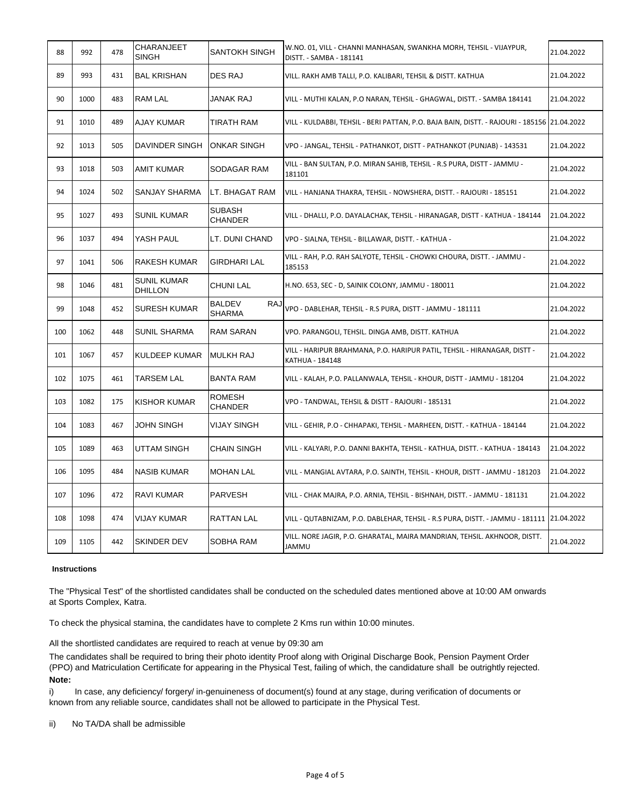| 88  | 992  | 478 | CHARANJEET<br><b>SINGH</b>           | SANTOKH SINGH                         | W.NO. 01, VILL - CHANNI MANHASAN, SWANKHA MORH, TEHSIL - VIJAYPUR,<br>DISTT. - SAMBA - 181141 | 21.04.2022 |
|-----|------|-----|--------------------------------------|---------------------------------------|-----------------------------------------------------------------------------------------------|------------|
| 89  | 993  | 431 | <b>BAL KRISHAN</b>                   | <b>DES RAJ</b>                        | VILL. RAKH AMB TALLI, P.O. KALIBARI, TEHSIL & DISTT. KATHUA                                   | 21.04.2022 |
| 90  | 1000 | 483 | <b>RAM LAL</b>                       | JANAK RAJ                             | VILL - MUTHI KALAN, P.O NARAN, TEHSIL - GHAGWAL, DISTT. - SAMBA 184141                        | 21.04.2022 |
| 91  | 1010 | 489 | <b>AJAY KUMAR</b>                    | TIRATH RAM                            | VILL - KULDABBI, TEHSIL - BERI PATTAN, P.O. BAJA BAIN, DISTT. - RAJOURI - 185156 21.04.2022   |            |
| 92  | 1013 | 505 | <b>DAVINDER SINGH</b>                | <b>ONKAR SINGH</b>                    | VPO - JANGAL, TEHSIL - PATHANKOT, DISTT - PATHANKOT (PUNJAB) - 143531                         | 21.04.2022 |
| 93  | 1018 | 503 | <b>AMIT KUMAR</b>                    | SODAGAR RAM                           | VILL - BAN SULTAN, P.O. MIRAN SAHIB, TEHSIL - R.S PURA, DISTT - JAMMU -<br>181101             | 21.04.2022 |
| 94  | 1024 | 502 | <b>SANJAY SHARMA</b>                 | LT. BHAGAT RAM                        | VILL - HANJANA THAKRA, TEHSIL - NOWSHERA, DISTT. - RAJOURI - 185151                           | 21.04.2022 |
| 95  | 1027 | 493 | <b>SUNIL KUMAR</b>                   | <b>SUBASH</b><br><b>CHANDER</b>       | VILL - DHALLI, P.O. DAYALACHAK, TEHSIL - HIRANAGAR, DISTT - KATHUA - 184144                   | 21.04.2022 |
| 96  | 1037 | 494 | YASH PAUL                            | LT. DUNI CHAND                        | VPO - SIALNA, TEHSIL - BILLAWAR, DISTT. - KATHUA -                                            | 21.04.2022 |
| 97  | 1041 | 506 | RAKESH KUMAR                         | <b>GIRDHARI LAL</b>                   | VILL - RAH, P.O. RAH SALYOTE, TEHSIL - CHOWKI CHOURA, DISTT. - JAMMU -<br>185153              | 21.04.2022 |
| 98  | 1046 | 481 | <b>SUNIL KUMAR</b><br><b>DHILLON</b> | <b>CHUNI LAL</b>                      | H.NO. 653, SEC - D, SAINIK COLONY, JAMMU - 180011                                             | 21.04.2022 |
| 99  | 1048 | 452 | <b>SURESH KUMAR</b>                  | <b>BALDEV</b><br>RAJ<br><b>SHARMA</b> | VPO - DABLEHAR, TEHSIL - R.S PURA, DISTT - JAMMU - 181111                                     | 21.04.2022 |
| 100 | 1062 | 448 | <b>SUNIL SHARMA</b>                  | <b>RAM SARAN</b>                      | VPO. PARANGOLI, TEHSIL. DINGA AMB, DISTT. KATHUA                                              | 21.04.2022 |
| 101 | 1067 | 457 | <b>KULDEEP KUMAR</b>                 | <b>MULKH RAJ</b>                      | VILL - HARIPUR BRAHMANA, P.O. HARIPUR PATIL, TEHSIL - HIRANAGAR, DISTT -<br>KATHUA - 184148   | 21.04.2022 |
| 102 | 1075 | 461 | <b>TARSEM LAL</b>                    | <b>BANTA RAM</b>                      | VILL - KALAH, P.O. PALLANWALA, TEHSIL - KHOUR, DISTT - JAMMU - 181204                         | 21.04.2022 |
| 103 | 1082 | 175 | <b>KISHOR KUMAR</b>                  | <b>ROMESH</b><br><b>CHANDER</b>       | VPO - TANDWAL, TEHSIL & DISTT - RAJOURI - 185131                                              | 21.04.2022 |
| 104 | 1083 | 467 | JOHN SINGH                           | VIJAY SINGH                           | VILL - GEHIR, P.O - CHHAPAKI, TEHSIL - MARHEEN, DISTT. - KATHUA - 184144                      | 21.04.2022 |
| 105 | 1089 | 463 | UTTAM SINGH                          | <b>CHAIN SINGH</b>                    | VILL - KALYARI, P.O. DANNI BAKHTA, TEHSIL - KATHUA, DISTT. - KATHUA - 184143                  | 21.04.2022 |
| 106 | 1095 | 484 | <b>NASIB KUMAR</b>                   | <b>MOHAN LAL</b>                      | VILL - MANGIAL AVTARA, P.O. SAINTH, TEHSIL - KHOUR, DISTT - JAMMU - 181203                    | 21.04.2022 |
| 107 | 1096 | 472 | <b>RAVI KUMAR</b>                    | <b>PARVESH</b>                        | VILL - CHAK MAJRA, P.O. ARNIA, TEHSIL - BISHNAH, DISTT. - JAMMU - 181131                      | 21.04.2022 |
| 108 | 1098 | 474 | <b>VIJAY KUMAR</b>                   | <b>RATTAN LAL</b>                     | VILL - QUTABNIZAM, P.O. DABLEHAR, TEHSIL - R.S PURA, DISTT. - JAMMU - 181111 21.04.2022       |            |
| 109 | 1105 | 442 | <b>SKINDER DEV</b>                   | SOBHA RAM                             | VILL. NORE JAGIR, P.O. GHARATAL, MAIRA MANDRIAN, TEHSIL. AKHNOOR, DISTT.<br><b>UMMAL</b>      | 21.04.2022 |

## **Instructions**

The "Physical Test" of the shortlisted candidates shall be conducted on the scheduled dates mentioned above at 10:00 AM onwards at Sports Complex, Katra.

To check the physical stamina, the candidates have to complete 2 Kms run within 10:00 minutes.

All the shortlisted candidates are required to reach at venue by 09:30 am

The candidates shall be required to bring their photo identity Proof along with Original Discharge Book, Pension Payment Order (PPO) and Matriculation Certificate for appearing in the Physical Test, failing of which, the candidature shall be outrightly rejected. **Note:**

i) In case, any deficiency/ forgery/ in-genuineness of document(s) found at any stage, during verification of documents or known from any reliable source, candidates shall not be allowed to participate in the Physical Test.

ii) No TA/DA shall be admissible